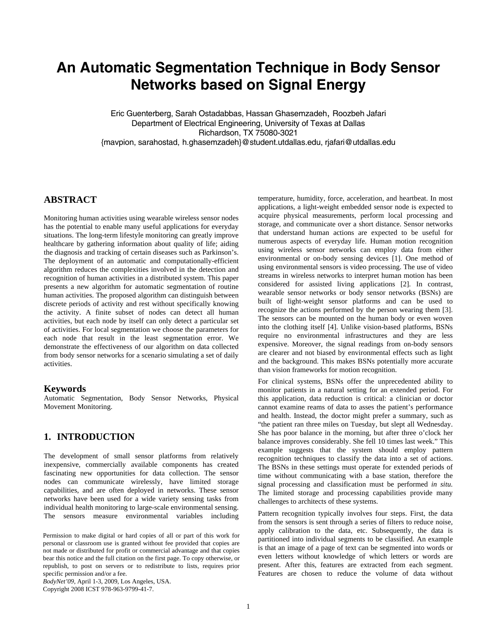# **An Automatic Segmentation Technique in Body Sensor Networks based on Signal Energy**

Eric Guenterberg, Sarah Ostadabbas, Hassan Ghasemzadeh, Roozbeh Jafari Department of Electrical Engineering, University of Texas at Dallas Richardson, TX 75080-3021 {mavpion, sarahostad, h.ghasemzadeh}@student.utdallas.edu, rjafari@utdallas.edu

# **ABSTRACT**

Monitoring human activities using wearable wireless sensor nodes has the potential to enable many useful applications for everyday situations. The long-term lifestyle monitoring can greatly improve healthcare by gathering information about quality of life; aiding the diagnosis and tracking of certain diseases such as Parkinson's. The deployment of an automatic and computationally-efficient algorithm reduces the complexities involved in the detection and recognition of human activities in a distributed system. This paper presents a new algorithm for automatic segmentation of routine human activities. The proposed algorithm can distinguish between discrete periods of activity and rest without specifically knowing the activity. A finite subset of nodes can detect all human activities, but each node by itself can only detect a particular set of activities. For local segmentation we choose the parameters for each node that result in the least segmentation error. We demonstrate the effectiveness of our algorithm on data collected from body sensor networks for a scenario simulating a set of daily activities.

### **Keywords**

Automatic Segmentation, Body Sensor Networks, Physical Movement Monitoring.

### **1. INTRODUCTION**

The development of small sensor platforms from relatively inexpensive, commercially available components has created fascinating new opportunities for data collection. The sensor nodes can communicate wirelessly, have limited storage capabilities, and are often deployed in networks. These sensor networks have been used for a wide variety sensing tasks from individual health monitoring to large-scale environmental sensing. The sensors measure environmental variables including

*BodyNet'09*, April 1-3, 2009, Los Angeles, USA. Copyright 2008 ICST 978-963-9799-41-7.

temperature, humidity, force, acceleration, and heartbeat. In most applications, a light-weight embedded sensor node is expected to acquire physical measurements, perform local processing and storage, and communicate over a short distance. Sensor networks that understand human actions are expected to be useful for numerous aspects of everyday life. Human motion recognition using wireless sensor networks can employ data from either environmental or on-body sensing devices [1]. One method of using environmental sensors is video processing. The use of video streams in wireless networks to interpret human motion has been considered for assisted living applications [2]. In contrast, wearable sensor networks or body sensor networks (BSNs) are built of light-weight sensor platforms and can be used to recognize the actions performed by the person wearing them [3]. The sensors can be mounted on the human body or even woven into the clothing itself [4]. Unlike vision-based platforms, BSNs require no environmental infrastructures and they are less expensive. Moreover, the signal readings from on-body sensors are clearer and not biased by environmental effects such as light and the background. This makes BSNs potentially more accurate than vision frameworks for motion recognition.

For clinical systems, BSNs offer the unprecedented ability to monitor patients in a natural setting for an extended period. For this application, data reduction is critical: a clinician or doctor cannot examine reams of data to asses the patient's performance and health. Instead, the doctor might prefer a summary, such as "the patient ran three miles on Tuesday, but slept all Wednesday. She has poor balance in the morning, but after three o'clock her balance improves considerably. She fell 10 times last week." This example suggests that the system should employ pattern recognition techniques to classify the data into a set of actions. The BSNs in these settings must operate for extended periods of time without communicating with a base station, therefore the signal processing and classification must be performed *in situ*. The limited storage and processing capabilities provide many challenges to architects of these systems.

Pattern recognition typically involves four steps. First, the data from the sensors is sent through a series of filters to reduce noise, apply calibration to the data, etc. Subsequently, the data is partitioned into individual segments to be classified. An example is that an image of a page of text can be segmented into words or even letters without knowledge of which letters or words are present. After this, features are extracted from each segment. Features are chosen to reduce the volume of data without

Permission to make digital or hard copies of all or part of this work for personal or classroom use is granted without fee provided that copies are not made or distributed for profit or commercial advantage and that copies bear this notice and the full citation on the first page. To copy otherwise, or republish, to post on servers or to redistribute to lists, requires prior specific permission and/or a fee.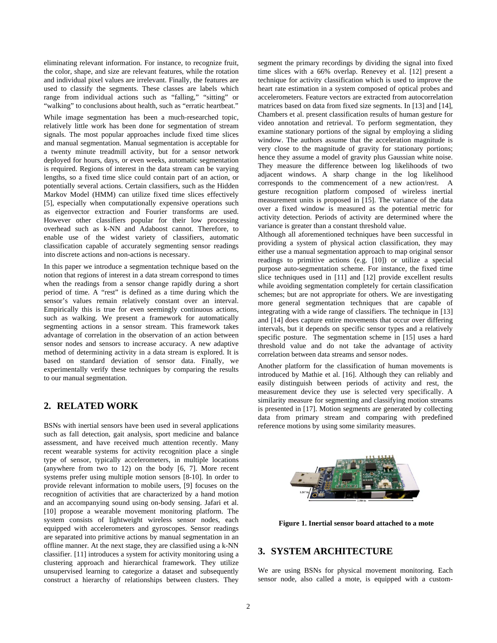eliminating relevant information. For instance, to recognize fruit, the color, shape, and size are relevant features, while the rotation and individual pixel values are irrelevant. Finally, the features are used to classify the segments. These classes are labels which range from individual actions such as "falling," "sitting" or "walking" to conclusions about health, such as "erratic heartbeat."

While image segmentation has been a much-researched topic, relatively little work has been done for segmentation of stream signals. The most popular approaches include fixed time slices and manual segmentation. Manual segmentation is acceptable for a twenty minute treadmill activity, but for a sensor network deployed for hours, days, or even weeks, automatic segmentation is required. Regions of interest in the data stream can be varying lengths, so a fixed time slice could contain part of an action, or potentially several actions. Certain classifiers, such as the Hidden Markov Model (HMM) can utilize fixed time slices effectively [5], especially when computationally expensive operations such as eigenvector extraction and Fourier transforms are used. However other classifiers popular for their low processing overhead such as k-NN and Adaboost cannot. Therefore, to enable use of the widest variety of classifiers, automatic classification capable of accurately segmenting sensor readings into discrete actions and non-actions is necessary.

In this paper we introduce a segmentation technique based on the notion that regions of interest in a data stream correspond to times when the readings from a sensor change rapidly during a short period of time. A "rest" is defined as a time during which the sensor's values remain relatively constant over an interval. Empirically this is true for even seemingly continuous actions, such as walking. We present a framework for automatically segmenting actions in a sensor stream. This framework takes advantage of correlation in the observation of an action between sensor nodes and sensors to increase accuracy. A new adaptive method of determining activity in a data stream is explored. It is based on standard deviation of sensor data. Finally, we experimentally verify these techniques by comparing the results to our manual segmentation.

# **2. RELATED WORK**

BSNs with inertial sensors have been used in several applications such as fall detection, gait analysis, sport medicine and balance assessment, and have received much attention recently. Many recent wearable systems for activity recognition place a single type of sensor, typically accelerometers, in multiple locations (anywhere from two to 12) on the body [6, 7]. More recent systems prefer using multiple motion sensors [8-10]. In order to provide relevant information to mobile users, [9] focuses on the recognition of activities that are characterized by a hand motion and an accompanying sound using on-body sensing. Jafari et al. [10] propose a wearable movement monitoring platform. The system consists of lightweight wireless sensor nodes, each equipped with accelerometers and gyroscopes. Sensor readings are separated into primitive actions by manual segmentation in an offline manner. At the next stage, they are classified using a k-NN classifier. [11] introduces a system for activity monitoring using a clustering approach and hierarchical framework. They utilize unsupervised learning to categorize a dataset and subsequently construct a hierarchy of relationships between clusters. They

segment the primary recordings by dividing the signal into fixed time slices with a 66% overlap. Renevey et al. [12] present a technique for activity classification which is used to improve the heart rate estimation in a system composed of optical probes and accelerometers. Feature vectors are extracted from autocorrelation matrices based on data from fixed size segments. In [13] and [14], Chambers et al. present classification results of human gesture for video annotation and retrieval. To perform segmentation, they examine stationary portions of the signal by employing a sliding window. The authors assume that the acceleration magnitude is very close to the magnitude of gravity for stationary portions; hence they assume a model of gravity plus Gaussian white noise. They measure the difference between log likelihoods of two adjacent windows. A sharp change in the log likelihood corresponds to the commencement of a new action/rest. A gesture recognition platform composed of wireless inertial measurement units is proposed in [15]. The variance of the data over a fixed window is measured as the potential metric for activity detection. Periods of activity are determined where the variance is greater than a constant threshold value.

Although all aforementioned techniques have been successful in providing a system of physical action classification, they may either use a manual segmentation approach to map original sensor readings to primitive actions (e.g. [10]) or utilize a special purpose auto-segmentation scheme. For instance, the fixed time slice techniques used in [11] and [12] provide excellent results while avoiding segmentation completely for certain classification schemes; but are not appropriate for others. We are investigating more general segmentation techniques that are capable of integrating with a wide range of classifiers. The technique in [13] and [14] does capture entire movements that occur over differing intervals, but it depends on specific sensor types and a relatively specific posture. The segmentation scheme in [15] uses a hard threshold value and do not take the advantage of activity correlation between data streams and sensor nodes.

Another platform for the classification of human movements is introduced by Mathie et al. [16]. Although they can reliably and easily distinguish between periods of activity and rest, the measurement device they use is selected very specifically. A similarity measure for segmenting and classifying motion streams is presented in [17]. Motion segments are generated by collecting data from primary stream and comparing with predefined reference motions by using some similarity measures.



 **Figure 1. Inertial sensor board attached to a mote** 

# **3. SYSTEM ARCHITECTURE**

We are using BSNs for physical movement monitoring. Each sensor node, also called a mote, is equipped with a custom-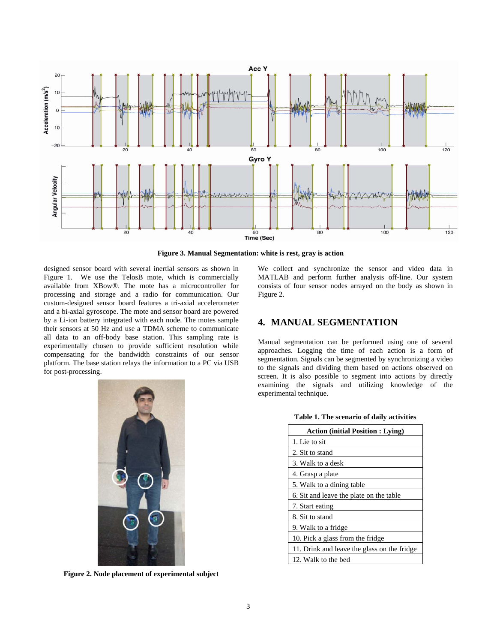

**Figure 3. Manual Segmentation: white is rest, gray is action** 

designed sensor board with several inertial sensors as shown in Figure 1. We use the TelosB mote, which is commercially available from XBow®. The mote has a microcontroller for processing and storage and a radio for communication. Our custom-designed sensor board features a tri-axial accelerometer and a bi-axial gyroscope. The mote and sensor board are powered by a Li-ion battery integrated with each node. The motes sample their sensors at 50 Hz and use a TDMA scheme to communicate all data to an off-body base station. This sampling rate is experimentally chosen to provide sufficient resolution while compensating for the bandwidth constraints of our sensor platform. The base station relays the information to a PC via USB for post-processing.



**Figure 2. Node placement of experimental subject** 

We collect and synchronize the sensor and video data in MATLAB and perform further analysis off-line. Our system consists of four sensor nodes arrayed on the body as shown in Figure 2.

# **4. MANUAL SEGMENTATION**

Manual segmentation can be performed using one of several approaches. Logging the time of each action is a form of segmentation. Signals can be segmented by synchronizing a video to the signals and dividing them based on actions observed on screen. It is also possible to segment into actions by directly examining the signals and utilizing knowledge of the experimental technique.

| <b>Action (initial Position: Lying)</b>     |  |  |  |  |  |  |
|---------------------------------------------|--|--|--|--|--|--|
| 1. Lie to sit                               |  |  |  |  |  |  |
| 2. Sit to stand                             |  |  |  |  |  |  |
| 3. Walk to a desk                           |  |  |  |  |  |  |
| 4. Grasp a plate                            |  |  |  |  |  |  |
| 5. Walk to a dining table                   |  |  |  |  |  |  |
| 6. Sit and leave the plate on the table     |  |  |  |  |  |  |
| 7. Start eating                             |  |  |  |  |  |  |
| 8. Sit to stand                             |  |  |  |  |  |  |
| 9. Walk to a fridge                         |  |  |  |  |  |  |
| 10. Pick a glass from the fridge            |  |  |  |  |  |  |
| 11. Drink and leave the glass on the fridge |  |  |  |  |  |  |
| 12. Walk to the bed                         |  |  |  |  |  |  |

**Table 1. The scenario of daily activities**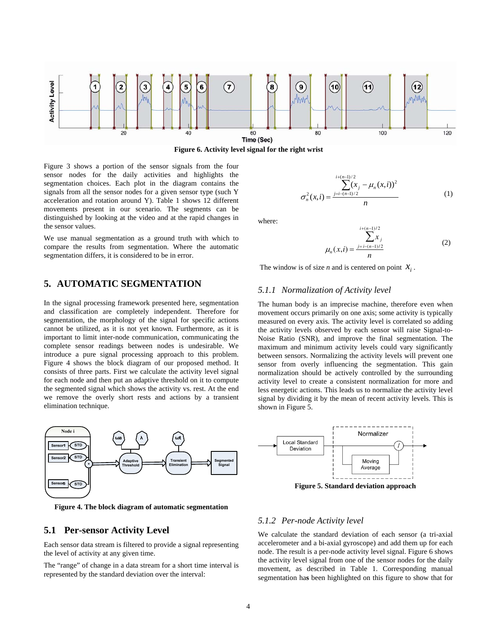

**Figure 6. Activity level signal for the right wrist** 

Figure 3 shows a portion of the sensor signals from the four sensor nodes for the daily activities and highlights the segmentation choices. Each plot in the diagram contains the signals from all the sensor nodes for a given sensor type (such Y acceleration and rotation around Y). Table 1 shows 12 different movements present in our scenario. The segments can be distinguished by looking at the video and at the rapid changes in the sensor values.

We use manual segmentation as a ground truth with which to compare the results from segmentation. Where the automatic segmentation differs, it is considered to be in error.

# **5. AUTOMATIC SEGMENTATION**

In the signal processing framework presented here, segmentation and classification are completely independent. Therefore for segmentation, the morphology of the signal for specific actions cannot be utilized, as it is not yet known. Furthermore, as it is important to limit inter-node communication, communicating the complete sensor readings between nodes is undesirable. We introduce a pure signal processing approach to this problem. Figure 4 shows the block diagram of our proposed method. It consists of three parts. First we calculate the activity level signal for each node and then put an adaptive threshold on it to compute the segmented signal which shows the activity vs. rest. At the end we remove the overly short rests and actions by a transient elimination technique.



**Figure 4. The block diagram of automatic segmentation** 

### **5.1 Per-sensor Activity Level**

Each sensor data stream is filtered to provide a signal representing the level of activity at any given time.

The "range" of change in a data stream for a short time interval is represented by the standard deviation over the interval:

$$
\sum_{n=1}^{i+(n-1)/2} (x_i - \mu_n(x,i))^2
$$
  

$$
\sum_{n=1}^{n-1} (x_i - \mu_n(x,i))^2
$$
 (1)

where:

$$
\mu_n(x,i) = \frac{\sum_{j=i-(n-1)/2}^{i+(n-1)/2} x_j}{n}
$$
 (2)

The window is of size *n* and is centered on point  $X_i$ .

### *5.1.1 Normalization of Activity level*

σ

The human body is an imprecise machine, therefore even when movement occurs primarily on one axis; some activity is typically measured on every axis. The activity level is correlated so adding the activity levels observed by each sensor will raise Signal-to-Noise Ratio (SNR), and improve the final segmentation. The maximum and minimum activity levels could vary significantly between sensors. Normalizing the activity levels will prevent one sensor from overly influencing the segmentation. This gain normalization should be actively controlled by the surrounding activity level to create a consistent normalization for more and less energetic actions. This leads us to normalize the activity level signal by dividing it by the mean of recent activity levels. This is shown in Figure 5.



**Figure 5. Standard deviation approach** 

#### *5.1.2 Per-node Activity level*

We calculate the standard deviation of each sensor (a tri-axial accelerometer and a bi-axial gyroscope) and add them up for each node. The result is a per-node activity level signal. Figure 6 shows the activity level signal from one of the sensor nodes for the daily movement, as described in Table 1. Corresponding manual segmentation ha**s** been highlighted on this figure to show that for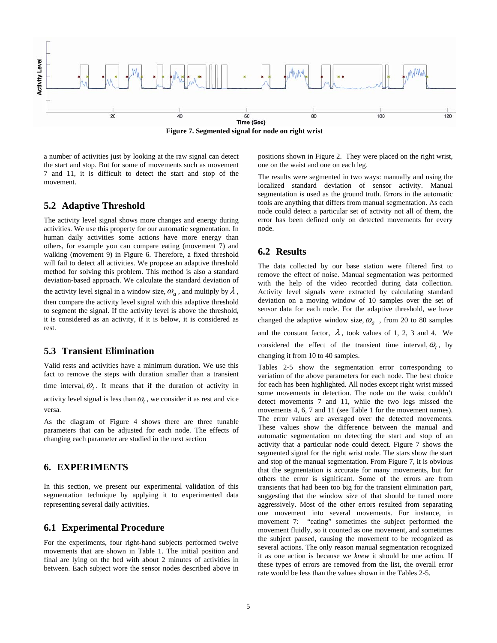

**Figure 7. Segmented signal for node on right wrist** 

a number of activities just by looking at the raw signal can detect the start and stop. But for some of movements such as movement 7 and 11, it is difficult to detect the start and stop of the movement.

### **5.2 Adaptive Threshold**

The activity level signal shows more changes and energy during activities. We use this property for our automatic segmentation. In human daily activities some actions have more energy than others, for example you can compare eating (movement 7) and walking (movement 9) in Figure 6. Therefore, a fixed threshold will fail to detect all activities. We propose an adaptive threshold method for solving this problem. This method is also a standard deviation-based approach. We calculate the standard deviation of the activity level signal in a window size,  $\omega_a$ , and multiply by  $\lambda$ , then compare the activity level signal with this adaptive threshold to segment the signal. If the activity level is above the threshold, it is considered as an activity, if it is below, it is considered as rest.

# **5.3 Transient Elimination**

Valid rests and activities have a minimum duration. We use this fact to remove the steps with duration smaller than a transient time interval,  $\omega$ . It means that if the duration of activity in

activity level signal is less than  $\omega_t$ , we consider it as rest and vice versa.

As the diagram of Figure 4 shows there are three tunable parameters that can be adjusted for each node. The effects of changing each parameter are studied in the next section

# **6. EXPERIMENTS**

In this section, we present our experimental validation of this segmentation technique by applying it to experimented data representing several daily activities.

### **6.1 Experimental Procedure**

For the experiments, four right-hand subjects performed twelve movements that are shown in Table 1. The initial position and final are lying on the bed with about 2 minutes of activities in between. Each subject wore the sensor nodes described above in positions shown in Figure 2. They were placed on the right wrist, one on the waist and one on each leg.

The results were segmented in two ways: manually and using the localized standard deviation of sensor activity. Manual segmentation is used as the ground truth. Errors in the automatic tools are anything that differs from manual segmentation. As each node could detect a particular set of activity not all of them, the error has been defined only on detected movements for every node.

# **6.2 Results**

The data collected by our base station were filtered first to remove the effect of noise. Manual segmentation was performed with the help of the video recorded during data collection. Activity level signals were extracted by calculating standard deviation on a moving window of 10 samples over the set of sensor data for each node. For the adaptive threshold, we have changed the adaptive window size,  $\omega_a$ , from 20 to 80 samples and the constant factor,  $\lambda$ , took values of 1, 2, 3 and 4. We considered the effect of the transient time interval,  $\omega_t$ , by changing it from 10 to 40 samples.

Tables 2-5 show the segmentation error corresponding to variation of the above parameters for each node. The best choice for each has been highlighted. All nodes except right wrist missed some movements in detection. The node on the waist couldn't detect movements 7 and 11, while the two legs missed the movements 4, 6, 7 and 11 (see Table 1 for the movement names). The error values are averaged over the detected movements. These values show the difference between the manual and automatic segmentation on detecting the start and stop of an activity that a particular node could detect. Figure 7 shows the segmented signal for the right wrist node. The stars show the start and stop of the manual segmentation. From Figure 7, it is obvious that the segmentation is accurate for many movements, but for others the error is significant. Some of the errors are from transients that had been too big for the transient elimination part, suggesting that the window size of that should be tuned more aggressively. Most of the other errors resulted from separating one movement into several movements. For instance, in movement 7: "eating" sometimes the subject performed the movement fluidly, so it counted as one movement, and sometimes the subject paused, causing the movement to be recognized as several actions. The only reason manual segmentation recognized it as one action is because we *knew* it should be one action. If these types of errors are removed from the list, the overall error rate would be less than the values shown in the Tables 2-5.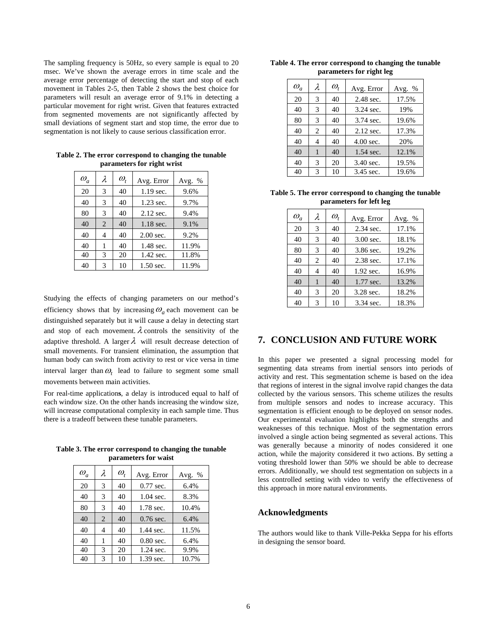The sampling frequency is 50Hz, so every sample is equal to 20 msec. We've shown the average errors in time scale and the average error percentage of detecting the start and stop of each movement in Tables 2-5, then Table 2 shows the best choice for parameters will result an average error of 9.1% in detecting a particular movement for right wrist. Given that features extracted from segmented movements are not significantly affected by small deviations of segment start and stop time, the error due to segmentation is not likely to cause serious classification error.

| $\omega_a$ | λ              | $\omega_{\scriptscriptstyle t}$ | Avg. Error  | Avg. % |
|------------|----------------|---------------------------------|-------------|--------|
| 20         | 3              | 40                              | 1.19 sec.   | 9.6%   |
| 40         | 3              | 40                              | $1.23$ sec. | 9.7%   |
| 80         | 3              | 40                              | $2.12$ sec. | 9.4%   |
| 40         | $\overline{c}$ | 40                              | 1.18 sec.   | 9.1%   |
| 40         | 4              | 40                              | 2.00 sec.   | 9.2%   |
| 40         | 1              | 40                              | 1.48 sec.   | 11.9%  |
| 40         | 3              | 20                              | 1.42 sec.   | 11.8%  |
| 40         | 3              | 10                              | 1.50 sec.   | 11.9%  |

**Table 2. The error correspond to changing the tunable parameters for right wrist** 

Studying the effects of changing parameters on our method's efficiency shows that by increasing  $\omega_a$  each movement can be distinguished separately but it will cause a delay in detecting start and stop of each movement.  $\lambda$  controls the sensitivity of the adaptive threshold. A larger  $\lambda$  will result decrease detection of small movements. For transient elimination, the assumption that human body can switch from activity to rest or vice versa in time interval larger than  $\omega_t$  lead to failure to segment some small movements between main activities.

For real-time application**s**, a delay is introduced equal to half of each window size. On the other hands increasing the window size, will increase computational complexity in each sample time. Thus there is a tradeoff between these tunable parameters.

|  |                      |  | Table 3. The error correspond to changing the tunable |
|--|----------------------|--|-------------------------------------------------------|
|  | parameters for waist |  |                                                       |

| $\omega_a$ | λ | $\omega_{t}$ | Avg. Error  | Avg. % |
|------------|---|--------------|-------------|--------|
| 20         | 3 | 40           | $0.77$ sec. | 6.4%   |
| 40         | 3 | 40           | $1.04$ sec. | 8.3%   |
| 80         | 3 | 40           | 1.78 sec.   | 10.4%  |
| 40         | 2 | 40           | $0.76$ sec. | 6.4%   |
| 40         | 4 | 40           | 1.44 sec.   | 11.5%  |
| 40         | 1 | 40           | $0.80$ sec. | 6.4%   |
| 40         | 3 | 20           | $1.24$ sec. | 9.9%   |
| 40         | 3 | 10           | 1.39 sec.   | 10.7%  |

**Table 4. The error correspond to changing the tunable parameters for right leg** 

| $\omega_a$ | λ | $\omega_{\scriptscriptstyle t}$ | Avg. Error  | Avg. % |
|------------|---|---------------------------------|-------------|--------|
| 20         | 3 | 40                              | 2.48 sec.   | 17.5%  |
| 40         | 3 | 40                              | 3.24 sec.   | 19%    |
| 80         | 3 | 40                              | 3.74 sec.   | 19.6%  |
| 40         | 2 | 40                              | $2.12$ sec. | 17.3%  |
| 40         | 4 | 40                              | 4.00 sec.   | 20%    |
| 40         |   | 40                              | 1.54 sec.   | 12.1%  |
| 40         | 3 | 20                              | 3.40 sec.   | 19.5%  |
| 40         | 3 | 10                              | 3.45 sec.   | 19.6%  |

**Table 5. The error correspond to changing the tunable parameters for left leg** 

| $\omega_a$ | λ | $\omega_{\scriptscriptstyle \star}$ | Avg. Error  | Avg. % |
|------------|---|-------------------------------------|-------------|--------|
| 20         | 3 | 40                                  | 2.34 sec.   | 17.1%  |
| 40         | 3 | 40                                  | $3.00$ sec. | 18.1%  |
| 80         | 3 | 40                                  | 3.86 sec.   | 19.2%  |
| 40         | 2 | 40                                  | 2.38 sec.   | 17.1%  |
| 40         | 4 | 40                                  | 1.92 sec.   | 16.9%  |
| 40         | 1 | 40                                  | 1.77 sec.   | 13.2%  |
| 40         | 3 | 20                                  | 3.28 sec.   | 18.2%  |
| 40         | 3 | 10                                  | 3.34 sec.   | 18.3%  |

# **7. CONCLUSION AND FUTURE WORK**

In this paper we presented a signal processing model for segmenting data streams from inertial sensors into periods of activity and rest. This segmentation scheme is based on the idea that regions of interest in the signal involve rapid changes the data collected by the various sensors. This scheme utilizes the results from multiple sensors and nodes to increase accuracy. This segmentation is efficient enough to be deployed on sensor nodes. Our experimental evaluation highlights both the strengths and weaknesses of this technique. Most of the segmentation errors involved a single action being segmented as several actions. This was generally because a minority of nodes considered it one action, while the majority considered it two actions. By setting a voting threshold lower than 50% we should be able to decrease errors. Additionally, we should test segmentation on subjects in a less controlled setting with video to verify the effectiveness of this approach in more natural environments.

### **Acknowledgments**

The authors would like to thank Ville-Pekka Seppa for his efforts in designing the sensor board.